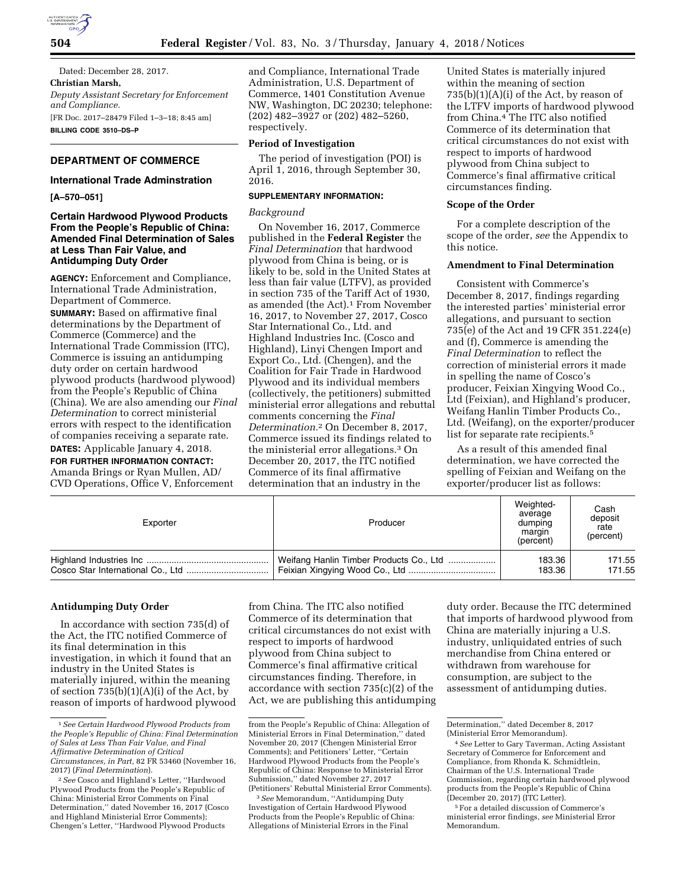

**504 Federal Register** / Vol. 83, No. 3 / Thursday, January 4, 2018 / Notices

Dated: December 28, 2017. **Christian Marsh,**  *Deputy Assistant Secretary for Enforcement and Compliance.*  [FR Doc. 2017–28479 Filed 1–3–18; 8:45 am] **BILLING CODE 3510–DS–P** 

## **DEPARTMENT OF COMMERCE**

### **International Trade Adminstration**

**[A–570–051]** 

### **Certain Hardwood Plywood Products From the People's Republic of China: Amended Final Determination of Sales at Less Than Fair Value, and Antidumping Duty Order**

**AGENCY:** Enforcement and Compliance, International Trade Administration, Department of Commerce. **SUMMARY:** Based on affirmative final determinations by the Department of Commerce (Commerce) and the International Trade Commission (ITC), Commerce is issuing an antidumping duty order on certain hardwood plywood products (hardwood plywood) from the People's Republic of China (China). We are also amending our *Final Determination* to correct ministerial errors with respect to the identification

**DATES:** Applicable January 4, 2018. **FOR FURTHER INFORMATION CONTACT:**  Amanda Brings or Ryan Mullen, AD/ CVD Operations, Office V, Enforcement

of companies receiving a separate rate.

and Compliance, International Trade Administration, U.S. Department of Commerce, 1401 Constitution Avenue NW, Washington, DC 20230; telephone: (202) 482–3927 or (202) 482–5260, respectively.

### **Period of Investigation**

The period of investigation (POI) is April 1, 2016, through September 30, 2016.

# **SUPPLEMENTARY INFORMATION:**

#### *Background*

On November 16, 2017, Commerce published in the **Federal Register** the *Final Determination* that hardwood plywood from China is being, or is likely to be, sold in the United States at less than fair value (LTFV), as provided in section 735 of the Tariff Act of 1930, as amended (the Act).<sup>1</sup> From November 16, 2017, to November 27, 2017, Cosco Star International Co., Ltd. and Highland Industries Inc. (Cosco and Highland), Linyi Chengen Import and Export Co., Ltd. (Chengen), and the Coalition for Fair Trade in Hardwood Plywood and its individual members (collectively, the petitioners) submitted ministerial error allegations and rebuttal comments concerning the *Final Determination.*2 On December 8, 2017, Commerce issued its findings related to the ministerial error allegations.3 On December 20, 2017, the ITC notified Commerce of its final affirmative determination that an industry in the

United States is materially injured within the meaning of section  $735(b)(1)(A)(i)$  of the Act, by reason of the LTFV imports of hardwood plywood from China.4 The ITC also notified Commerce of its determination that critical circumstances do not exist with respect to imports of hardwood plywood from China subject to Commerce's final affirmative critical circumstances finding.

#### **Scope of the Order**

For a complete description of the scope of the order, *see* the Appendix to this notice.

# **Amendment to Final Determination**

Consistent with Commerce's December 8, 2017, findings regarding the interested parties' ministerial error allegations, and pursuant to section 735(e) of the Act and 19 CFR 351.224(e) and (f), Commerce is amending the *Final Determination* to reflect the correction of ministerial errors it made in spelling the name of Cosco's producer, Feixian Xingying Wood Co., Ltd (Feixian), and Highland's producer, Weifang Hanlin Timber Products Co., Ltd. (Weifang), on the exporter/producer list for separate rate recipients.<sup>5</sup>

As a result of this amended final determination, we have corrected the spelling of Feixian and Weifang on the exporter/producer list as follows:

| Exporter | Producer                                | Weighted-<br>average<br>dumping<br>margin<br>(percent) | Cash<br>deposit<br>rate<br>(percent) |
|----------|-----------------------------------------|--------------------------------------------------------|--------------------------------------|
|          | Weifang Hanlin Timber Products Co., Ltd | 183.36                                                 | 171.55                               |
|          |                                         | 183.36                                                 | 171.55                               |

#### **Antidumping Duty Order**

In accordance with section 735(d) of the Act, the ITC notified Commerce of its final determination in this investigation, in which it found that an industry in the United States is materially injured, within the meaning of section 735(b)(1)(A)(i) of the Act, by reason of imports of hardwood plywood

from China. The ITC also notified Commerce of its determination that critical circumstances do not exist with respect to imports of hardwood plywood from China subject to Commerce's final affirmative critical circumstances finding. Therefore, in accordance with section 735(c)(2) of the Act, we are publishing this antidumping

3*See* Memorandum, ''Antidumping Duty Investigation of Certain Hardwood Plywood Products from the People's Republic of China: Allegations of Ministerial Errors in the Final

duty order. Because the ITC determined that imports of hardwood plywood from China are materially injuring a U.S. industry, unliquidated entries of such merchandise from China entered or withdrawn from warehouse for consumption, are subject to the assessment of antidumping duties.

<sup>1</sup>*See Certain Hardwood Plywood Products from the People's Republic of China: Final Determination of Sales at Less Than Fair Value, and Final Affirmative Determination of Critical Circumstances, in Part,* 82 FR 53460 (November 16, 2017) (*Final Determination*).

<sup>2</sup>*See* Cosco and Highland's Letter, ''Hardwood Plywood Products from the People's Republic of China: Ministerial Error Comments on Final Determination,'' dated November 16, 2017 (Cosco and Highland Ministerial Error Comments); Chengen's Letter, ''Hardwood Plywood Products

from the People's Republic of China: Allegation of Ministerial Errors in Final Determination,'' dated November 20, 2017 (Chengen Ministerial Error Comments); and Petitioners' Letter, ''Certain Hardwood Plywood Products from the People's Republic of China: Response to Ministerial Error Submission,'' dated November 27, 2017 (Petitioners' Rebuttal Ministerial Error Comments).

Determination,'' dated December 8, 2017 (Ministerial Error Memorandum).

<sup>4</sup>*See* Letter to Gary Taverman, Acting Assistant Secretary of Commerce for Enforcement and Compliance, from Rhonda K. Schmidtlein, Chairman of the U.S. International Trade Commission, regarding certain hardwood plywood products from the People's Republic of China (December 20, 2017) (ITC Letter).

<sup>5</sup>For a detailed discussion of Commerce's ministerial error findings, *see* Ministerial Error Memorandum.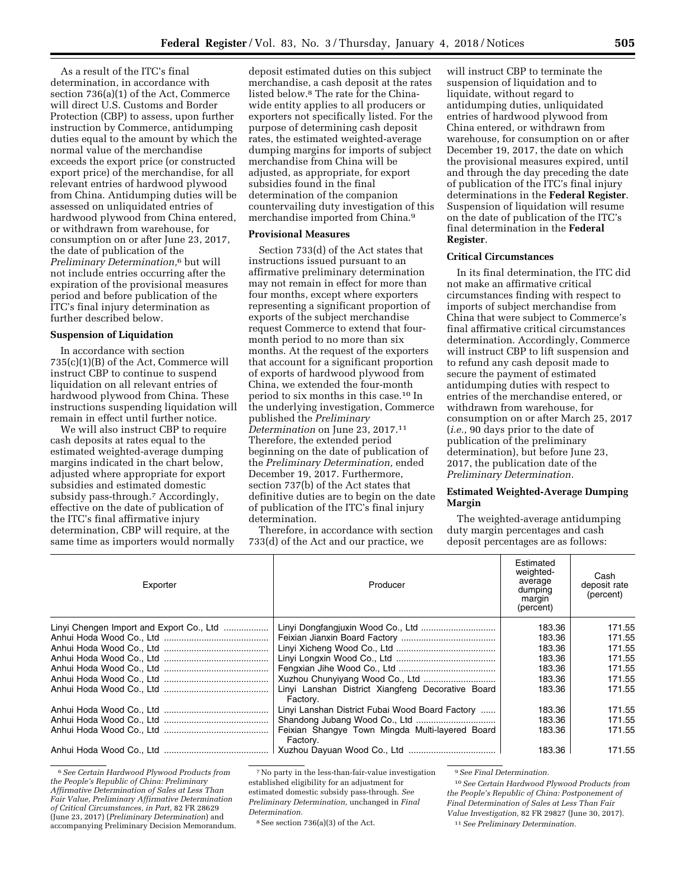As a result of the ITC's final determination, in accordance with section 736(a)(1) of the Act, Commerce will direct U.S. Customs and Border Protection (CBP) to assess, upon further instruction by Commerce, antidumping duties equal to the amount by which the normal value of the merchandise exceeds the export price (or constructed export price) of the merchandise, for all relevant entries of hardwood plywood from China. Antidumping duties will be assessed on unliquidated entries of hardwood plywood from China entered, or withdrawn from warehouse, for consumption on or after June 23, 2017, the date of publication of the *Preliminary Determination,*6 but will not include entries occurring after the expiration of the provisional measures period and before publication of the ITC's final injury determination as further described below.

#### **Suspension of Liquidation**

In accordance with section 735(c)(1)(B) of the Act, Commerce will instruct CBP to continue to suspend liquidation on all relevant entries of hardwood plywood from China. These instructions suspending liquidation will remain in effect until further notice.

We will also instruct CBP to require cash deposits at rates equal to the estimated weighted-average dumping margins indicated in the chart below, adjusted where appropriate for export subsidies and estimated domestic subsidy pass-through.7 Accordingly, effective on the date of publication of the ITC's final affirmative injury determination, CBP will require, at the same time as importers would normally

deposit estimated duties on this subject merchandise, a cash deposit at the rates listed below.8 The rate for the Chinawide entity applies to all producers or exporters not specifically listed. For the purpose of determining cash deposit rates, the estimated weighted-average dumping margins for imports of subject merchandise from China will be adjusted, as appropriate, for export subsidies found in the final determination of the companion countervailing duty investigation of this merchandise imported from China.9

#### **Provisional Measures**

Section 733(d) of the Act states that instructions issued pursuant to an affirmative preliminary determination may not remain in effect for more than four months, except where exporters representing a significant proportion of exports of the subject merchandise request Commerce to extend that fourmonth period to no more than six months. At the request of the exporters that account for a significant proportion of exports of hardwood plywood from China, we extended the four-month period to six months in this case.10 In the underlying investigation, Commerce published the *Preliminary Determination* on June 23, 2017.11 Therefore, the extended period beginning on the date of publication of the *Preliminary Determination,* ended December 19, 2017. Furthermore, section 737(b) of the Act states that definitive duties are to begin on the date of publication of the ITC's final injury determination.

Therefore, in accordance with section 733(d) of the Act and our practice, we

will instruct CBP to terminate the suspension of liquidation and to liquidate, without regard to antidumping duties, unliquidated entries of hardwood plywood from China entered, or withdrawn from warehouse, for consumption on or after December 19, 2017, the date on which the provisional measures expired, until and through the day preceding the date of publication of the ITC's final injury determinations in the **Federal Register**. Suspension of liquidation will resume on the date of publication of the ITC's final determination in the **Federal Register**.

### **Critical Circumstances**

In its final determination, the ITC did not make an affirmative critical circumstances finding with respect to imports of subject merchandise from China that were subject to Commerce's final affirmative critical circumstances determination. Accordingly, Commerce will instruct CBP to lift suspension and to refund any cash deposit made to secure the payment of estimated antidumping duties with respect to entries of the merchandise entered, or withdrawn from warehouse, for consumption on or after March 25, 2017 (*i.e.,* 90 days prior to the date of publication of the preliminary determination), but before June 23, 2017, the publication date of the *Preliminary Determination.* 

### **Estimated Weighted-Average Dumping Margin**

The weighted-average antidumping duty margin percentages and cash deposit percentages are as follows:

| Exporter                                 | Producer                                                      | Estimated<br>weighted-<br>average<br>dumping<br>margin<br>(percent) | Cash<br>deposit rate<br>(percent) |
|------------------------------------------|---------------------------------------------------------------|---------------------------------------------------------------------|-----------------------------------|
| Linyi Chengen Import and Export Co., Ltd |                                                               | 183.36                                                              | 171.55                            |
|                                          |                                                               | 183.36                                                              | 171.55                            |
|                                          |                                                               | 183.36                                                              | 171.55                            |
|                                          |                                                               | 183.36                                                              | 171.55                            |
|                                          |                                                               | 183.36                                                              | 171.55                            |
|                                          |                                                               | 183.36                                                              | 171.55                            |
|                                          | Linyi Lanshan District Xiangfeng Decorative Board<br>Factory. | 183.36                                                              | 171.55                            |
|                                          | Linyi Lanshan District Fubai Wood Board Factory               | 183.36                                                              | 171.55                            |
|                                          |                                                               | 183.36                                                              | 171.55                            |
|                                          | Feixian Shangye Town Mingda Multi-layered Board<br>Factory.   | 183.36                                                              | 171.55                            |
|                                          |                                                               | 183.36                                                              | 171.55                            |

6*See Certain Hardwood Plywood Products from the People's Republic of China: Preliminary Affirmative Determination of Sales at Less Than Fair Value, Preliminary Affirmative Determination of Critical Circumstances, in Part,* 82 FR 28629 (June 23, 2017) (*Preliminary Determination*) and accompanying Preliminary Decision Memorandum.

7No party in the less-than-fair-value investigation established eligibility for an adjustment for estimated domestic subsidy pass-through. *See Preliminary Determination,* unchanged in *Final Determination.* 

 $8$  See section 736(a)(3) of the Act.

9*See Final Determination.* 

10*See Certain Hardwood Plywood Products from the People's Republic of China: Postponement of Final Determination of Sales at Less Than Fair Value Investigation,* 82 FR 29827 (June 30, 2017). 11*See Preliminary Determination.*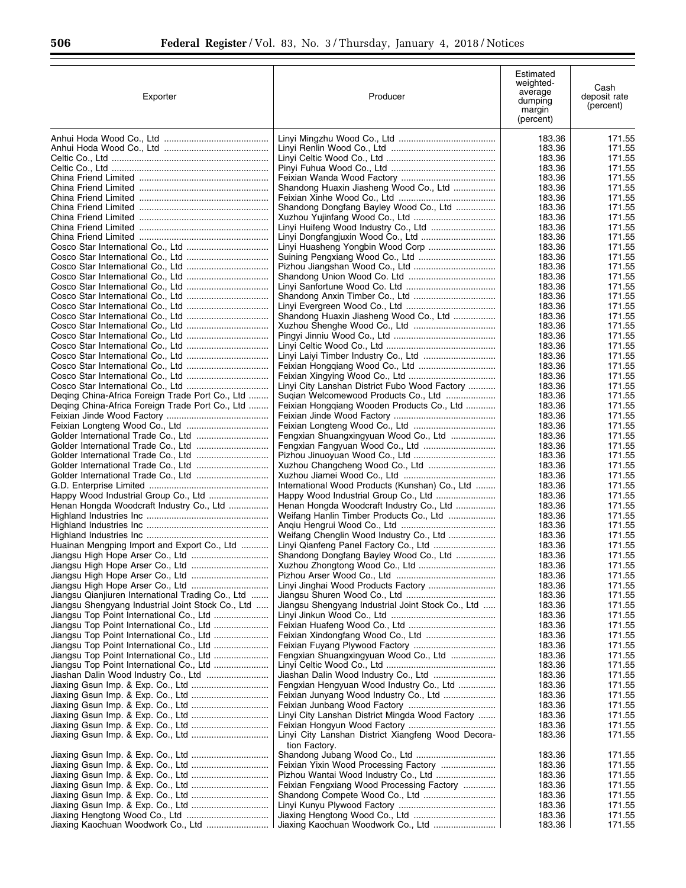| Exporter                                                                             | Producer                                                                              | Estimated<br>weighted-<br>average<br>dumping<br>margin<br>(percent) | Cash<br>deposit rate<br>(percent) |
|--------------------------------------------------------------------------------------|---------------------------------------------------------------------------------------|---------------------------------------------------------------------|-----------------------------------|
|                                                                                      |                                                                                       | 183.36                                                              | 171.55                            |
|                                                                                      |                                                                                       | 183.36                                                              | 171.55                            |
|                                                                                      |                                                                                       | 183.36<br>183.36                                                    | 171.55<br>171.55                  |
|                                                                                      |                                                                                       | 183.36                                                              | 171.55                            |
|                                                                                      | Shandong Huaxin Jiasheng Wood Co., Ltd                                                | 183.36                                                              | 171.55                            |
|                                                                                      |                                                                                       | 183.36                                                              | 171.55                            |
|                                                                                      | Shandong Dongfang Bayley Wood Co., Ltd                                                | 183.36                                                              | 171.55                            |
|                                                                                      |                                                                                       | 183.36                                                              | 171.55                            |
|                                                                                      | Linyi Huifeng Wood Industry Co., Ltd                                                  | 183.36<br>183.36                                                    | 171.55<br>171.55                  |
|                                                                                      | Linyi Huasheng Yongbin Wood Corp                                                      | 183.36                                                              | 171.55                            |
|                                                                                      |                                                                                       | 183.36                                                              | 171.55                            |
|                                                                                      |                                                                                       | 183.36                                                              | 171.55                            |
|                                                                                      |                                                                                       | 183.36                                                              | 171.55                            |
|                                                                                      |                                                                                       | 183.36                                                              | 171.55                            |
|                                                                                      |                                                                                       | 183.36<br>183.36                                                    | 171.55<br>171.55                  |
|                                                                                      | Shandong Huaxin Jiasheng Wood Co., Ltd                                                | 183.36                                                              | 171.55                            |
|                                                                                      |                                                                                       | 183.36                                                              | 171.55                            |
|                                                                                      |                                                                                       | 183.36                                                              | 171.55                            |
|                                                                                      |                                                                                       | 183.36                                                              | 171.55                            |
|                                                                                      | Linyi Laiyi Timber Industry Co., Ltd                                                  | 183.36                                                              | 171.55                            |
|                                                                                      |                                                                                       | 183.36                                                              | 171.55                            |
|                                                                                      |                                                                                       | 183.36                                                              | 171.55                            |
| Deging China-Africa Foreign Trade Port Co., Ltd                                      | Linyi City Lanshan District Fubo Wood Factory<br>Sugian Welcomewood Products Co., Ltd | 183.36<br>183.36                                                    | 171.55<br>171.55                  |
| Deging China-Africa Foreign Trade Port Co., Ltd                                      | Feixian Honggiang Wooden Products Co., Ltd                                            | 183.36                                                              | 171.55                            |
|                                                                                      |                                                                                       | 183.36                                                              | 171.55                            |
|                                                                                      |                                                                                       | 183.36                                                              | 171.55                            |
|                                                                                      | Fengxian Shuangxingyuan Wood Co., Ltd                                                 | 183.36                                                              | 171.55                            |
| Golder International Trade Co., Ltd                                                  |                                                                                       | 183.36                                                              | 171.55                            |
|                                                                                      |                                                                                       | 183.36                                                              | 171.55                            |
|                                                                                      |                                                                                       | 183.36<br>183.36                                                    | 171.55<br>171.55                  |
|                                                                                      | International Wood Products (Kunshan) Co., Ltd                                        | 183.36                                                              | 171.55                            |
|                                                                                      |                                                                                       | 183.36                                                              | 171.55                            |
| Henan Hongda Woodcraft Industry Co., Ltd                                             | Henan Hongda Woodcraft Industry Co., Ltd                                              | 183.36                                                              | 171.55                            |
|                                                                                      | Weifang Hanlin Timber Products Co., Ltd                                               | 183.36                                                              | 171.55                            |
|                                                                                      |                                                                                       | 183.36                                                              | 171.55                            |
|                                                                                      | Weifang Chenglin Wood Industry Co., Ltd                                               | 183.36                                                              | 171.55<br>171.55                  |
| Huainan Mengping Import and Export Co., Ltd                                          | Shandong Dongfang Bayley Wood Co., Ltd                                                | 183.36<br>183.36                                                    | 171.55                            |
| Jiangsu High Hope Arser Co., Ltd                                                     |                                                                                       | 183.36                                                              | 171.55                            |
|                                                                                      |                                                                                       | 183.36                                                              | 171.55                            |
|                                                                                      |                                                                                       | 183.36                                                              | 171.55                            |
| Jiangsu Qianjiuren International Trading Co., Ltd                                    |                                                                                       | 183.36                                                              | 171.55                            |
| Jiangsu Shengyang Industrial Joint Stock Co., Ltd                                    | Jiangsu Shengyang Industrial Joint Stock Co., Ltd                                     | 183.36                                                              | 171.55                            |
| Jiangsu Top Point International Co., Ltd<br>Jiangsu Top Point International Co., Ltd |                                                                                       | 183.36<br>183.36                                                    | 171.55<br>171.55                  |
| Jiangsu Top Point International Co., Ltd                                             | Feixian Xindongfang Wood Co., Ltd                                                     | 183.36                                                              | 171.55                            |
| Jiangsu Top Point International Co., Ltd                                             |                                                                                       | 183.36                                                              | 171.55                            |
|                                                                                      | Fengxian Shuangxingyuan Wood Co., Ltd                                                 | 183.36                                                              | 171.55                            |
|                                                                                      |                                                                                       | 183.36                                                              | 171.55                            |
|                                                                                      |                                                                                       | 183.36                                                              | 171.55                            |
|                                                                                      | Fengxian Hengyuan Wood Industry Co., Ltd                                              | 183.36                                                              | 171.55                            |
|                                                                                      | Feixian Junyang Wood Industry Co., Ltd                                                | 183.36<br>183.36                                                    | 171.55<br>171.55                  |
|                                                                                      | Linyi City Lanshan District Mingda Wood Factory                                       | 183.36                                                              | 171.55                            |
|                                                                                      |                                                                                       | 183.36                                                              | 171.55                            |
|                                                                                      | Linyi City Lanshan District Xiangfeng Wood Decora-<br>tion Factory.                   | 183.36                                                              | 171.55                            |
|                                                                                      |                                                                                       | 183.36                                                              | 171.55                            |
|                                                                                      |                                                                                       | 183.36                                                              | 171.55                            |
|                                                                                      |                                                                                       | 183.36                                                              | 171.55                            |
|                                                                                      | Feixian Fengxiang Wood Processing Factory                                             | 183.36                                                              | 171.55                            |
|                                                                                      |                                                                                       | 183.36<br>183.36                                                    | 171.55<br>171.55                  |
|                                                                                      |                                                                                       | 183.36                                                              | 171.55                            |
|                                                                                      |                                                                                       | 183.36                                                              | 171.55                            |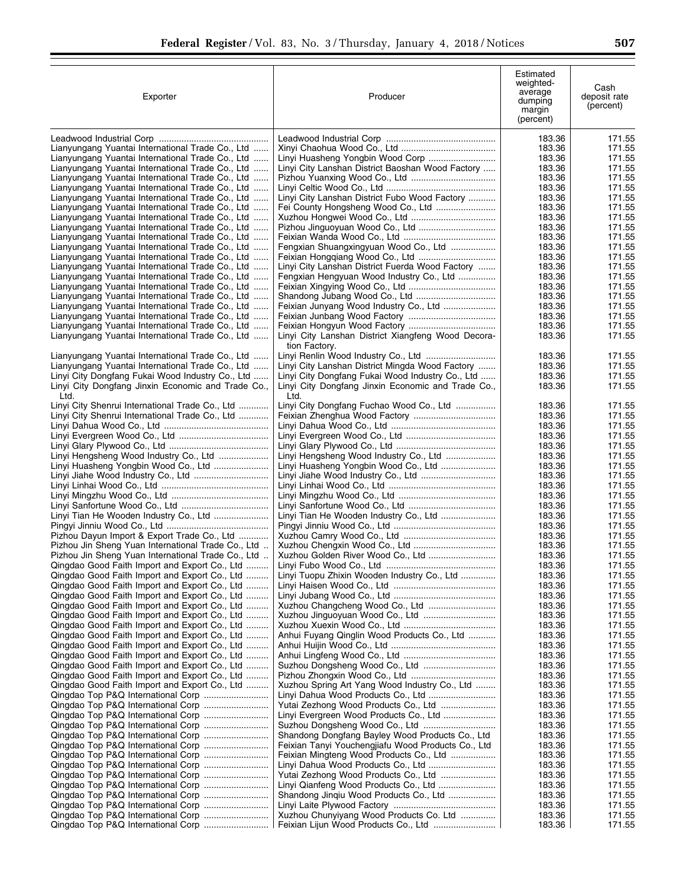| Exporter                                                                                             | Producer                                                                                            | Estimated<br>weighted-<br>average<br>dumping<br>margin<br>(percent) | Cash<br>deposit rate<br>(percent) |
|------------------------------------------------------------------------------------------------------|-----------------------------------------------------------------------------------------------------|---------------------------------------------------------------------|-----------------------------------|
|                                                                                                      |                                                                                                     | 183.36                                                              | 171.55                            |
| Lianyungang Yuantai International Trade Co., Ltd                                                     |                                                                                                     | 183.36                                                              | 171.55                            |
| Lianyungang Yuantai International Trade Co., Ltd                                                     |                                                                                                     | 183.36                                                              | 171.55                            |
| Lianyungang Yuantai International Trade Co., Ltd<br>Lianyungang Yuantai International Trade Co., Ltd | Linyi City Lanshan District Baoshan Wood Factory                                                    | 183.36<br>183.36                                                    | 171.55<br>171.55                  |
| Lianyungang Yuantai International Trade Co., Ltd                                                     |                                                                                                     | 183.36                                                              | 171.55                            |
| Lianyungang Yuantai International Trade Co., Ltd                                                     | Linyi City Lanshan District Fubo Wood Factory                                                       | 183.36                                                              | 171.55                            |
| Lianyungang Yuantai International Trade Co., Ltd                                                     |                                                                                                     | 183.36                                                              | 171.55                            |
| Lianyungang Yuantai International Trade Co., Ltd                                                     |                                                                                                     | 183.36                                                              | 171.55                            |
| Lianyungang Yuantai International Trade Co., Ltd                                                     |                                                                                                     | 183.36<br>183.36                                                    | 171.55                            |
| Lianyungang Yuantai International Trade Co., Ltd<br>Lianyungang Yuantai International Trade Co., Ltd | Fengxian Shuangxingyuan Wood Co., Ltd                                                               | 183.36                                                              | 171.55<br>171.55                  |
| Lianyungang Yuantai International Trade Co., Ltd                                                     |                                                                                                     | 183.36                                                              | 171.55                            |
| Lianyungang Yuantai International Trade Co., Ltd                                                     | Linyi City Lanshan District Fuerda Wood Factory                                                     | 183.36                                                              | 171.55                            |
| Lianyungang Yuantai International Trade Co., Ltd                                                     | Fengxian Hengyuan Wood Industry Co., Ltd                                                            | 183.36                                                              | 171.55                            |
| Lianyungang Yuantai International Trade Co., Ltd<br>Lianyungang Yuantai International Trade Co., Ltd |                                                                                                     | 183.36<br>183.36                                                    | 171.55<br>171.55                  |
| Lianyungang Yuantai International Trade Co., Ltd                                                     | Feixian Junyang Wood Industry Co., Ltd                                                              | 183.36                                                              | 171.55                            |
| Lianyungang Yuantai International Trade Co., Ltd                                                     |                                                                                                     | 183.36                                                              | 171.55                            |
| Lianyungang Yuantai International Trade Co., Ltd                                                     |                                                                                                     | 183.36                                                              | 171.55                            |
| Lianyungang Yuantai International Trade Co., Ltd                                                     | Linyi City Lanshan District Xiangfeng Wood Decora-<br>tion Factory.                                 | 183.36                                                              | 171.55                            |
| Lianyungang Yuantai International Trade Co., Ltd                                                     |                                                                                                     | 183.36                                                              | 171.55                            |
| Lianyungang Yuantai International Trade Co., Ltd<br>Linyi City Dongfang Fukai Wood Industry Co., Ltd | Linyi City Lanshan District Mingda Wood Factory<br>Linyi City Dongfang Fukai Wood Industry Co., Ltd | 183.36<br>183.36                                                    | 171.55<br>171.55                  |
| Linyi City Dongfang Jinxin Economic and Trade Co.,<br>Ltd.                                           | Linyi City Dongfang Jinxin Economic and Trade Co.,<br>Ltd.                                          | 183.36                                                              | 171.55                            |
| Linyi City Shenrui International Trade Co., Ltd                                                      | Linyi City Dongfang Fuchao Wood Co., Ltd                                                            | 183.36                                                              | 171.55                            |
| Linyi City Shenrui International Trade Co., Ltd                                                      |                                                                                                     | 183.36                                                              | 171.55                            |
|                                                                                                      |                                                                                                     | 183.36                                                              | 171.55                            |
|                                                                                                      |                                                                                                     | 183.36                                                              | 171.55                            |
| Linyi Hengsheng Wood Industry Co., Ltd                                                               | Linyi Hengsheng Wood Industry Co., Ltd                                                              | 183.36<br>183.36                                                    | 171.55<br>171.55                  |
| Linyi Huasheng Yongbin Wood Co., Ltd                                                                 | Linyi Huasheng Yongbin Wood Co., Ltd                                                                | 183.36                                                              | 171.55                            |
|                                                                                                      |                                                                                                     | 183.36                                                              | 171.55                            |
|                                                                                                      |                                                                                                     | 183.36                                                              | 171.55                            |
|                                                                                                      |                                                                                                     | 183.36                                                              | 171.55                            |
| Linyi Tian He Wooden Industry Co., Ltd                                                               | Linyi Tian He Wooden Industry Co., Ltd                                                              | 183.36<br>183.36                                                    | 171.55<br>171.55                  |
|                                                                                                      |                                                                                                     | 183.36                                                              | 171.55                            |
| Pizhou Dayun Import & Export Trade Co., Ltd                                                          |                                                                                                     | 183.36                                                              | 171.55                            |
| Pizhou Jin Sheng Yuan International Trade Co., Ltd                                                   |                                                                                                     | 183.36                                                              | 171.55                            |
| Pizhou Jin Sheng Yuan International Trade Co., Ltd                                                   |                                                                                                     | 183.36                                                              | 171.55                            |
| Qingdao Good Faith Import and Export Co., Ltd<br>Qingdao Good Faith Import and Export Co., Ltd       | Linyi Tuopu Zhixin Wooden Industry Co., Ltd                                                         | 183.36<br>183.36                                                    | 171.55<br>171.55                  |
| Qingdao Good Faith Import and Export Co., Ltd                                                        |                                                                                                     | 183.36                                                              | 171.55                            |
| Qingdao Good Faith Import and Export Co., Ltd                                                        |                                                                                                     | 183.36                                                              | 171.55                            |
| Qingdao Good Faith Import and Export Co., Ltd                                                        |                                                                                                     | 183.36                                                              | 171.55                            |
| Qingdao Good Faith Import and Export Co., Ltd                                                        |                                                                                                     | 183.36                                                              | 171.55                            |
| Qingdao Good Faith Import and Export Co., Ltd<br>Qingdao Good Faith Import and Export Co., Ltd       | Anhui Fuyang Qinglin Wood Products Co., Ltd                                                         | 183.36<br>183.36                                                    | 171.55<br>171.55                  |
| Qingdao Good Faith Import and Export Co., Ltd                                                        |                                                                                                     | 183.36                                                              | 171.55                            |
| Qingdao Good Faith Import and Export Co., Ltd                                                        |                                                                                                     | 183.36                                                              | 171.55                            |
| Qingdao Good Faith Import and Export Co., Ltd                                                        | Suzhou Dongsheng Wood Co., Ltd                                                                      | 183.36                                                              | 171.55                            |
| Qingdao Good Faith Import and Export Co., Ltd                                                        |                                                                                                     | 183.36                                                              | 171.55                            |
| Qingdao Good Faith Import and Export Co., Ltd                                                        | Xuzhou Spring Art Yang Wood Industry Co., Ltd                                                       | 183.36<br>183.36                                                    | 171.55<br>171.55                  |
|                                                                                                      | Yutai Zezhong Wood Products Co., Ltd                                                                | 183.36                                                              | 171.55                            |
|                                                                                                      | Linyi Evergreen Wood Products Co., Ltd                                                              | 183.36                                                              | 171.55                            |
|                                                                                                      |                                                                                                     | 183.36                                                              | 171.55                            |
| Qingdao Top P&Q International Corp                                                                   | Shandong Dongfang Bayley Wood Products Co., Ltd.                                                    | 183.36                                                              | 171.55                            |
| Qingdao Top P&Q International Corp                                                                   | Feixian Tanyi Youchengjiafu Wood Products Co., Ltd<br>Feixian Mingteng Wood Products Co., Ltd       | 183.36<br>183.36                                                    | 171.55<br>171.55                  |
|                                                                                                      |                                                                                                     | 183.36                                                              | 171.55                            |
| Qingdao Top P&Q International Corp                                                                   | Yutai Zezhong Wood Products Co., Ltd                                                                | 183.36                                                              | 171.55                            |
| Qingdao Top P&Q International Corp                                                                   |                                                                                                     | 183.36                                                              | 171.55                            |
|                                                                                                      | Shandong Jinqiu Wood Products Co., Ltd                                                              | 183.36                                                              | 171.55                            |
|                                                                                                      | Xuzhou Chunyiyang Wood Products Co. Ltd                                                             | 183.36<br>183.36                                                    | 171.55<br>171.55                  |
| Qingdao Top P&Q International Corp                                                                   |                                                                                                     | 183.36                                                              | 171.55                            |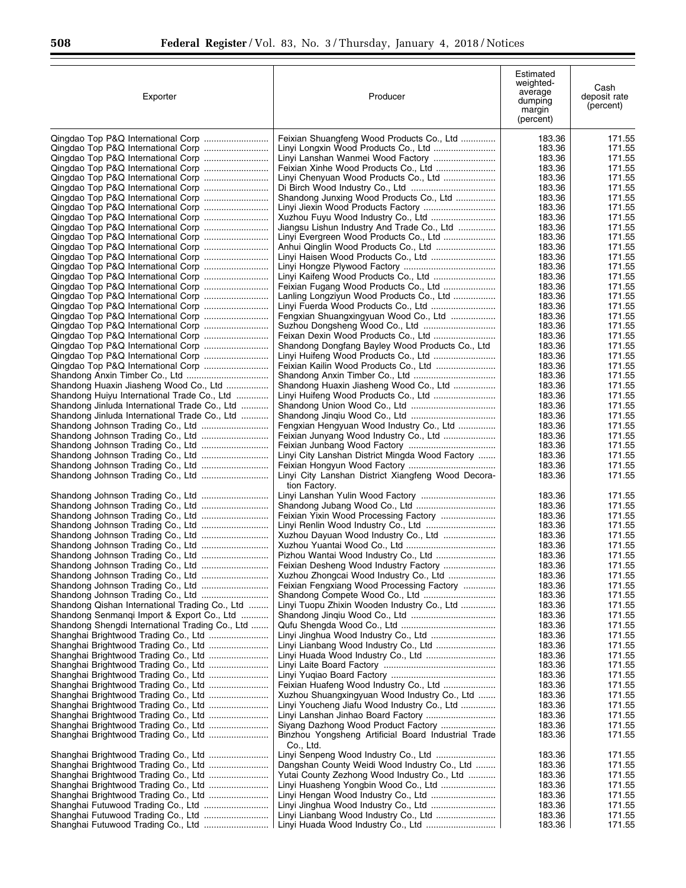| Exporter                                                               | Producer                                                                        | Estimated<br>weighted-<br>average<br>dumping<br>margin<br>(percent) | Cash<br>deposit rate<br>(percent) |
|------------------------------------------------------------------------|---------------------------------------------------------------------------------|---------------------------------------------------------------------|-----------------------------------|
|                                                                        | Feixian Shuangfeng Wood Products Co., Ltd                                       | 183.36                                                              | 171.55                            |
|                                                                        | Linyi Longxin Wood Products Co., Ltd                                            | 183.36                                                              | 171.55                            |
|                                                                        | Linyi Lanshan Wanmei Wood Factory<br>Feixian Xinhe Wood Products Co., Ltd       | 183.36<br>183.36                                                    | 171.55<br>171.55                  |
|                                                                        | Linyi Chenyuan Wood Products Co., Ltd                                           | 183.36                                                              | 171.55                            |
|                                                                        |                                                                                 | 183.36                                                              | 171.55                            |
| Qingdao Top P&Q International Corp                                     | Shandong Junxing Wood Products Co., Ltd                                         | 183.36                                                              | 171.55                            |
| Qingdao Top P&Q International Corp                                     | Linyi Jiexin Wood Products Factory                                              | 183.36                                                              | 171.55                            |
|                                                                        |                                                                                 | 183.36                                                              | 171.55                            |
| Qingdao Top P&Q International Corp                                     | Jiangsu Lishun Industry And Trade Co., Ltd                                      | 183.36                                                              | 171.55                            |
|                                                                        | Linyi Evergreen Wood Products Co., Ltd                                          | 183.36<br>183.36                                                    | 171.55<br>171.55                  |
| Qingdao Top P&Q International Corp                                     | Linyi Haisen Wood Products Co., Ltd                                             | 183.36                                                              | 171.55                            |
|                                                                        |                                                                                 | 183.36                                                              | 171.55                            |
| Qingdao Top P&Q International Corp                                     |                                                                                 | 183.36                                                              | 171.55                            |
| Qingdao Top P&Q International Corp                                     | Feixian Fugang Wood Products Co., Ltd                                           | 183.36                                                              | 171.55                            |
|                                                                        | Lanling Longziyun Wood Products Co., Ltd                                        | 183.36                                                              | 171.55                            |
|                                                                        | Linyi Fuerda Wood Products Co., Ltd                                             | 183.36                                                              | 171.55                            |
|                                                                        | Fengxian Shuangxingyuan Wood Co., Ltd                                           | 183.36                                                              | 171.55                            |
|                                                                        |                                                                                 | 183.36                                                              | 171.55                            |
| Qingdao Top P&Q International Corp                                     |                                                                                 | 183.36                                                              | 171.55                            |
| Qingdao Top P&Q International Corp                                     | Shandong Dongfang Bayley Wood Products Co., Ltd                                 | 183.36<br>183.36                                                    | 171.55<br>171.55                  |
|                                                                        | Feixian Kailin Wood Products Co., Ltd                                           | 183.36                                                              | 171.55                            |
|                                                                        |                                                                                 | 183.36                                                              | 171.55                            |
| Shandong Huaxin Jiasheng Wood Co., Ltd                                 | Shandong Huaxin Jiasheng Wood Co., Ltd                                          | 183.36                                                              | 171.55                            |
| Shandong Huiyu International Trade Co., Ltd                            | Linyi Huifeng Wood Products Co., Ltd                                            | 183.36                                                              | 171.55                            |
| Shandong Jinluda International Trade Co., Ltd                          |                                                                                 | 183.36                                                              | 171.55                            |
| Shandong Jinluda International Trade Co., Ltd                          |                                                                                 | 183.36                                                              | 171.55                            |
|                                                                        | Fengxian Hengyuan Wood Industry Co., Ltd                                        | 183.36                                                              | 171.55                            |
|                                                                        | Feixian Junyang Wood Industry Co., Ltd                                          | 183.36                                                              | 171.55                            |
|                                                                        |                                                                                 | 183.36                                                              | 171.55                            |
|                                                                        | Linyi City Lanshan District Mingda Wood Factory                                 | 183.36                                                              | 171.55                            |
| Shandong Johnson Trading Co., Ltd<br>Shandong Johnson Trading Co., Ltd | Linyi City Lanshan District Xiangfeng Wood Decora-                              | 183.36<br>183.36                                                    | 171.55<br>171.55                  |
|                                                                        | tion Factory.                                                                   |                                                                     |                                   |
| Shandong Johnson Trading Co., Ltd                                      | Linyi Lanshan Yulin Wood Factory                                                | 183.36                                                              | 171.55                            |
|                                                                        |                                                                                 | 183.36                                                              | 171.55                            |
| Shandong Johnson Trading Co., Ltd                                      | Feixian Yixin Wood Processing Factory                                           | 183.36                                                              | 171.55                            |
|                                                                        |                                                                                 | 183.36                                                              | 171.55                            |
|                                                                        | Xuzhou Dayuan Wood Industry Co., Ltd                                            | 183.36                                                              | 171.55                            |
|                                                                        |                                                                                 | 183.36                                                              | 171.55                            |
|                                                                        | Pizhou Wantai Wood Industry Co., Ltd                                            | 183.36                                                              | 171.55                            |
| Shandong Johnson Trading Co., Ltd                                      | Feixian Desheng Wood Industry Factory<br>Xuzhou Zhongcai Wood Industry Co., Ltd | 183.36<br>183.36                                                    | 171.55<br>171.55                  |
|                                                                        | Feixian Fengxiang Wood Processing Factory                                       | 183.36                                                              | 171.55                            |
|                                                                        |                                                                                 | 183.36                                                              | 171.55                            |
| Shandong Qishan International Trading Co., Ltd                         | Linyi Tuopu Zhixin Wooden Industry Co., Ltd                                     | 183.36                                                              | 171.55                            |
| Shandong Senmangi Import & Export Co., Ltd                             |                                                                                 | 183.36                                                              | 171.55                            |
| Shandong Shengdi International Trading Co., Ltd                        |                                                                                 | 183.36                                                              | 171.55                            |
| Shanghai Brightwood Trading Co., Ltd                                   | Linyi Jinghua Wood Industry Co., Ltd                                            | 183.36                                                              | 171.55                            |
|                                                                        |                                                                                 | 183.36                                                              | 171.55                            |
|                                                                        | Linyi Huada Wood Industry Co., Ltd                                              | 183.36                                                              | 171.55                            |
|                                                                        |                                                                                 | 183.36                                                              | 171.55                            |
|                                                                        | Feixian Huafeng Wood Industry Co., Ltd                                          | 183.36<br>183.36                                                    | 171.55<br>171.55                  |
| Shanghai Brightwood Trading Co., Ltd                                   | Xuzhou Shuangxingyuan Wood Industry Co., Ltd                                    | 183.36                                                              | 171.55                            |
|                                                                        | Linyi Youcheng Jiafu Wood Industry Co., Ltd                                     | 183.36                                                              | 171.55                            |
|                                                                        |                                                                                 | 183.36                                                              | 171.55                            |
|                                                                        | Siyang Dazhong Wood Product Factory                                             | 183.36                                                              | 171.55                            |
| Shanghai Brightwood Trading Co., Ltd                                   | Binzhou Yongsheng Artificial Board Industrial Trade                             | 183.36                                                              | 171.55                            |
|                                                                        | Co., Ltd.                                                                       |                                                                     |                                   |
| Shanghai Brightwood Trading Co., Ltd                                   |                                                                                 | 183.36                                                              | 171.55                            |
|                                                                        | Dangshan County Weidi Wood Industry Co., Ltd                                    | 183.36                                                              | 171.55                            |
|                                                                        | Yutai County Zezhong Wood Industry Co., Ltd                                     | 183.36                                                              | 171.55                            |
|                                                                        | Linyi Huasheng Yongbin Wood Co., Ltd                                            | 183.36<br>183.36                                                    | 171.55<br>171.55                  |
|                                                                        | Linyi Jinghua Wood Industry Co., Ltd                                            | 183.36                                                              | 171.55                            |
|                                                                        |                                                                                 | 183.36                                                              | 171.55                            |
|                                                                        |                                                                                 | 183.36                                                              | 171.55                            |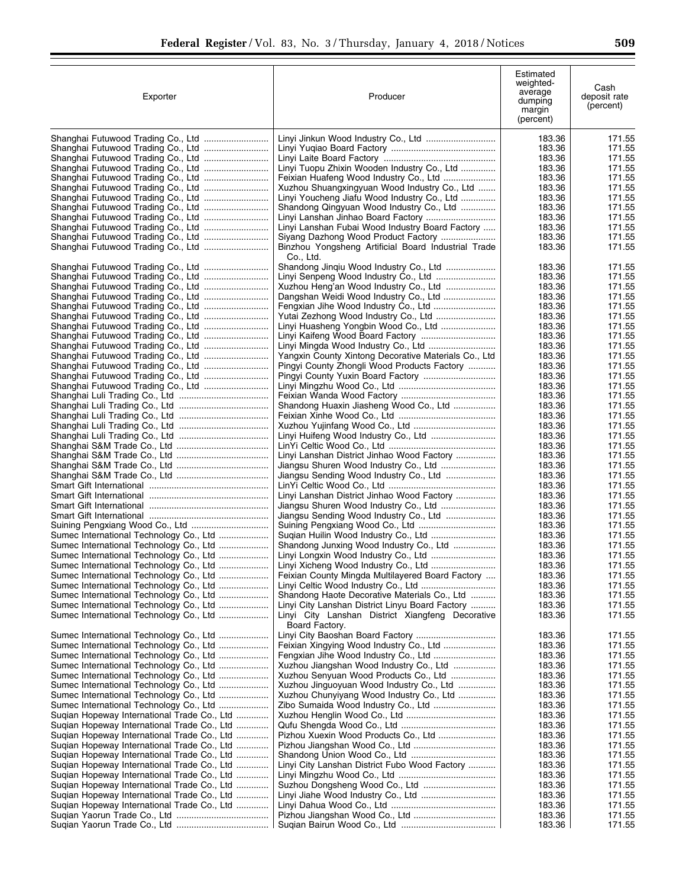| Exporter                                                                                   | Producer                                                                                        | Estimated<br>weighted-<br>average<br>dumping<br>margin<br>(percent) | Cash<br>deposit rate<br>(percent) |
|--------------------------------------------------------------------------------------------|-------------------------------------------------------------------------------------------------|---------------------------------------------------------------------|-----------------------------------|
|                                                                                            | Linyi Jinkun Wood Industry Co., Ltd                                                             | 183.36                                                              | 171.55                            |
|                                                                                            |                                                                                                 | 183.36                                                              | 171.55                            |
|                                                                                            | Linyi Tuopu Zhixin Wooden Industry Co., Ltd                                                     | 183.36<br>183.36                                                    | 171.55<br>171.55                  |
| Shanghai Futuwood Trading Co., Ltd                                                         | Feixian Huafeng Wood Industry Co., Ltd                                                          | 183.36                                                              | 171.55                            |
|                                                                                            | Xuzhou Shuangxingyuan Wood Industry Co., Ltd                                                    | 183.36                                                              | 171.55                            |
|                                                                                            | Linyi Youcheng Jiafu Wood Industry Co., Ltd                                                     | 183.36                                                              | 171.55                            |
| Shanghai Futuwood Trading Co., Ltd                                                         | Shandong Qingyuan Wood Industry Co., Ltd                                                        | 183.36                                                              | 171.55                            |
|                                                                                            | Linyi Lanshan Jinhao Board Factory                                                              | 183.36                                                              | 171.55                            |
|                                                                                            | Linyi Lanshan Fubai Wood Industry Board Factory<br>Siyang Dazhong Wood Product Factory          | 183.36<br>183.36                                                    | 171.55<br>171.55                  |
|                                                                                            | Binzhou Yongsheng Artificial Board Industrial Trade                                             | 183.36                                                              | 171.55                            |
|                                                                                            | Co., Ltd.                                                                                       |                                                                     |                                   |
|                                                                                            | Shandong Jinqiu Wood Industry Co., Ltd                                                          | 183.36                                                              | 171.55                            |
|                                                                                            | Xuzhou Heng'an Wood Industry Co., Ltd                                                           | 183.36<br>183.36                                                    | 171.55<br>171.55                  |
|                                                                                            | Dangshan Weidi Wood Industry Co., Ltd                                                           | 183.36                                                              | 171.55                            |
|                                                                                            |                                                                                                 | 183.36                                                              | 171.55                            |
| Shanghai Futuwood Trading Co., Ltd                                                         |                                                                                                 | 183.36                                                              | 171.55                            |
| Shanghai Futuwood Trading Co., Ltd                                                         | Linyi Huasheng Yongbin Wood Co., Ltd                                                            | 183.36                                                              | 171.55                            |
|                                                                                            |                                                                                                 | 183.36<br>183.36                                                    | 171.55<br>171.55                  |
|                                                                                            | Yangxin County Xintong Decorative Materials Co., Ltd                                            | 183.36                                                              | 171.55                            |
|                                                                                            | Pingyi County Zhongli Wood Products Factory                                                     | 183.36                                                              | 171.55                            |
|                                                                                            |                                                                                                 | 183.36                                                              | 171.55                            |
| Shanghai Futuwood Trading Co., Ltd                                                         |                                                                                                 | 183.36                                                              | 171.55                            |
|                                                                                            |                                                                                                 | 183.36                                                              | 171.55                            |
|                                                                                            | Shandong Huaxin Jiasheng Wood Co., Ltd                                                          | 183.36<br>183.36                                                    | 171.55<br>171.55                  |
|                                                                                            |                                                                                                 | 183.36                                                              | 171.55                            |
|                                                                                            |                                                                                                 | 183.36                                                              | 171.55                            |
|                                                                                            |                                                                                                 | 183.36                                                              | 171.55                            |
|                                                                                            | Linyi Lanshan District Jinhao Wood Factory                                                      | 183.36                                                              | 171.55                            |
|                                                                                            |                                                                                                 | 183.36                                                              | 171.55                            |
|                                                                                            | Jiangsu Sending Wood Industry Co., Ltd                                                          | 183.36<br>183.36                                                    | 171.55<br>171.55                  |
|                                                                                            | Linyi Lanshan District Jinhao Wood Factory                                                      | 183.36                                                              | 171.55                            |
|                                                                                            |                                                                                                 | 183.36                                                              | 171.55                            |
|                                                                                            | Jiangsu Sending Wood Industry Co., Ltd                                                          | 183.36                                                              | 171.55                            |
|                                                                                            |                                                                                                 | 183.36                                                              | 171.55                            |
| Sumec International Technology Co., Ltd<br>Sumec International Technology Co., Ltd         | Shandong Junxing Wood Industry Co., Ltd                                                         | 183.36<br>183.36                                                    | 171.55<br>171.55                  |
| Sumec International Technology Co., Ltd                                                    |                                                                                                 | 183.36                                                              | 171.55                            |
| Sumec International Technology Co., Ltd                                                    | Linyi Xicheng Wood Industry Co., Ltd                                                            | 183.36                                                              | 171.55                            |
| Sumec International Technology Co., Ltd                                                    | Feixian County Mingda Multilayered Board Factory                                                | 183.36                                                              | 171.55                            |
| Sumec International Technology Co., Ltd                                                    |                                                                                                 | 183.36                                                              | 171.55                            |
| Sumec International Technology Co., Ltd<br>Sumec International Technology Co., Ltd         | Shandong Haote Decorative Materials Co., Ltd<br>Linyi City Lanshan District Linyu Board Factory | 183.36<br>183.36                                                    | 171.55<br>171.55                  |
| Sumec International Technology Co., Ltd                                                    | Linyi City Lanshan District Xiangfeng Decorative                                                | 183.36                                                              | 171.55                            |
|                                                                                            | Board Factory.                                                                                  |                                                                     |                                   |
| Sumec International Technology Co., Ltd<br>Sumec International Technology Co., Ltd         |                                                                                                 | 183.36                                                              | 171.55                            |
| Sumec International Technology Co., Ltd                                                    |                                                                                                 | 183.36<br>183.36                                                    | 171.55<br>171.55                  |
| Sumec International Technology Co., Ltd                                                    | Xuzhou Jiangshan Wood Industry Co., Ltd                                                         | 183.36                                                              | 171.55                            |
| Sumec International Technology Co., Ltd                                                    | Xuzhou Senyuan Wood Products Co., Ltd                                                           | 183.36                                                              | 171.55                            |
| Sumec International Technology Co., Ltd                                                    | Xuzhou Jinguoyuan Wood Industry Co., Ltd                                                        | 183.36                                                              | 171.55                            |
| Sumec International Technology Co., Ltd                                                    | Xuzhou Chunyiyang Wood Industry Co., Ltd                                                        | 183.36                                                              | 171.55                            |
| Sumec International Technology Co., Ltd                                                    |                                                                                                 | 183.36                                                              | 171.55                            |
| Sugian Hopeway International Trade Co., Ltd<br>Suqian Hopeway International Trade Co., Ltd |                                                                                                 | 183.36<br>183.36                                                    | 171.55<br>171.55                  |
| Sugian Hopeway International Trade Co., Ltd                                                | Pizhou Xuexin Wood Products Co., Ltd                                                            | 183.36                                                              | 171.55                            |
| Sugian Hopeway International Trade Co., Ltd                                                |                                                                                                 | 183.36                                                              | 171.55                            |
| Suqian Hopeway International Trade Co., Ltd                                                |                                                                                                 | 183.36                                                              | 171.55                            |
| Suqian Hopeway International Trade Co., Ltd                                                | Linyi City Lanshan District Fubo Wood Factory                                                   | 183.36                                                              | 171.55                            |
| Sugian Hopeway International Trade Co., Ltd<br>Sugian Hopeway International Trade Co., Ltd |                                                                                                 | 183.36<br>183.36                                                    | 171.55<br>171.55                  |
| Sugian Hopeway International Trade Co., Ltd                                                |                                                                                                 | 183.36                                                              | 171.55                            |
| Sugian Hopeway International Trade Co., Ltd                                                |                                                                                                 | 183.36                                                              | 171.55                            |
|                                                                                            |                                                                                                 | 183.36                                                              | 171.55                            |
|                                                                                            |                                                                                                 | 183.36                                                              | 171.55                            |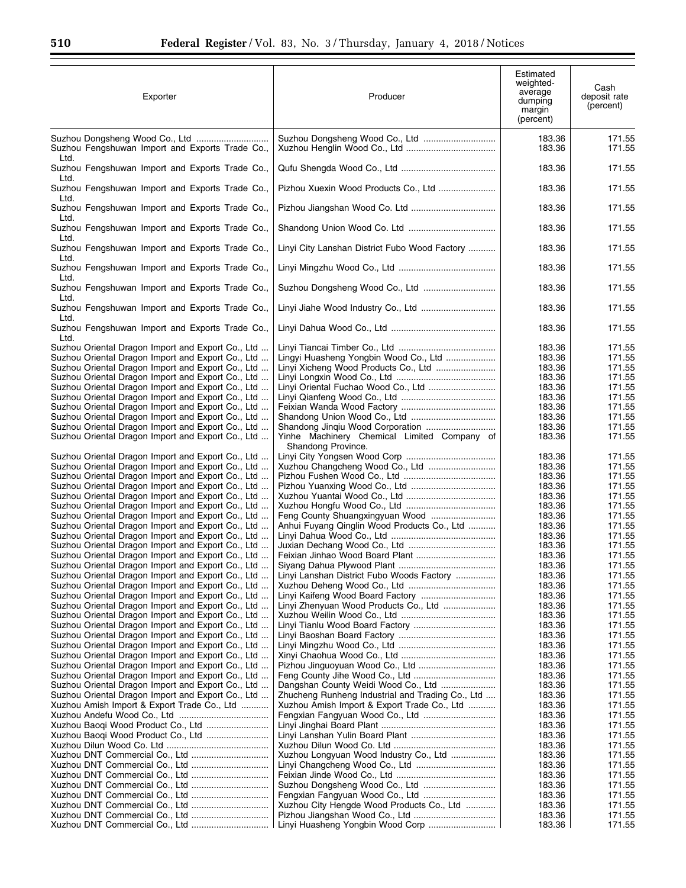| Exporter                                                                                                                                                                                                                                                                                                                                                                                                                                                                                                                                                                                                                                                                                                                                                                                                                                                                                                                                                                                                                                    | Producer                                                                                                                                                                                                                                                                                            | Estimated<br>weighted-<br>average<br>dumping<br>margin<br>(percent)                                                                                                                        | Cash<br>deposit rate<br>(percent)                                                                                                                                                          |
|---------------------------------------------------------------------------------------------------------------------------------------------------------------------------------------------------------------------------------------------------------------------------------------------------------------------------------------------------------------------------------------------------------------------------------------------------------------------------------------------------------------------------------------------------------------------------------------------------------------------------------------------------------------------------------------------------------------------------------------------------------------------------------------------------------------------------------------------------------------------------------------------------------------------------------------------------------------------------------------------------------------------------------------------|-----------------------------------------------------------------------------------------------------------------------------------------------------------------------------------------------------------------------------------------------------------------------------------------------------|--------------------------------------------------------------------------------------------------------------------------------------------------------------------------------------------|--------------------------------------------------------------------------------------------------------------------------------------------------------------------------------------------|
| Suzhou Fengshuwan Import and Exports Trade Co.,<br>Ltd.                                                                                                                                                                                                                                                                                                                                                                                                                                                                                                                                                                                                                                                                                                                                                                                                                                                                                                                                                                                     |                                                                                                                                                                                                                                                                                                     | 183.36<br>183.36                                                                                                                                                                           | 171.55<br>171.55                                                                                                                                                                           |
| Suzhou Fengshuwan Import and Exports Trade Co.,<br>Ltd.                                                                                                                                                                                                                                                                                                                                                                                                                                                                                                                                                                                                                                                                                                                                                                                                                                                                                                                                                                                     |                                                                                                                                                                                                                                                                                                     | 183.36                                                                                                                                                                                     | 171.55                                                                                                                                                                                     |
| Suzhou Fengshuwan Import and Exports Trade Co.,<br>Ltd.                                                                                                                                                                                                                                                                                                                                                                                                                                                                                                                                                                                                                                                                                                                                                                                                                                                                                                                                                                                     | Pizhou Xuexin Wood Products Co., Ltd                                                                                                                                                                                                                                                                | 183.36                                                                                                                                                                                     | 171.55                                                                                                                                                                                     |
| Suzhou Fengshuwan Import and Exports Trade Co.,<br>Ltd.                                                                                                                                                                                                                                                                                                                                                                                                                                                                                                                                                                                                                                                                                                                                                                                                                                                                                                                                                                                     |                                                                                                                                                                                                                                                                                                     | 183.36                                                                                                                                                                                     | 171.55                                                                                                                                                                                     |
| Suzhou Fengshuwan Import and Exports Trade Co.,<br>Ltd.                                                                                                                                                                                                                                                                                                                                                                                                                                                                                                                                                                                                                                                                                                                                                                                                                                                                                                                                                                                     |                                                                                                                                                                                                                                                                                                     | 183.36                                                                                                                                                                                     | 171.55                                                                                                                                                                                     |
| Suzhou Fengshuwan Import and Exports Trade Co.,<br>Ltd.                                                                                                                                                                                                                                                                                                                                                                                                                                                                                                                                                                                                                                                                                                                                                                                                                                                                                                                                                                                     | Linyi City Lanshan District Fubo Wood Factory                                                                                                                                                                                                                                                       | 183.36                                                                                                                                                                                     | 171.55                                                                                                                                                                                     |
| Suzhou Fengshuwan Import and Exports Trade Co.,<br>Ltd.                                                                                                                                                                                                                                                                                                                                                                                                                                                                                                                                                                                                                                                                                                                                                                                                                                                                                                                                                                                     |                                                                                                                                                                                                                                                                                                     | 183.36                                                                                                                                                                                     | 171.55                                                                                                                                                                                     |
| Suzhou Fengshuwan Import and Exports Trade Co.,<br>Ltd.                                                                                                                                                                                                                                                                                                                                                                                                                                                                                                                                                                                                                                                                                                                                                                                                                                                                                                                                                                                     | Suzhou Dongsheng Wood Co., Ltd                                                                                                                                                                                                                                                                      | 183.36                                                                                                                                                                                     | 171.55                                                                                                                                                                                     |
| Suzhou Fengshuwan Import and Exports Trade Co.,<br>Ltd.                                                                                                                                                                                                                                                                                                                                                                                                                                                                                                                                                                                                                                                                                                                                                                                                                                                                                                                                                                                     | Linyi Jiahe Wood Industry Co., Ltd                                                                                                                                                                                                                                                                  | 183.36                                                                                                                                                                                     | 171.55                                                                                                                                                                                     |
| Suzhou Fengshuwan Import and Exports Trade Co.,<br>Ltd.                                                                                                                                                                                                                                                                                                                                                                                                                                                                                                                                                                                                                                                                                                                                                                                                                                                                                                                                                                                     |                                                                                                                                                                                                                                                                                                     | 183.36                                                                                                                                                                                     | 171.55                                                                                                                                                                                     |
| Suzhou Oriental Dragon Import and Export Co., Ltd<br>Suzhou Oriental Dragon Import and Export Co., Ltd<br>Suzhou Oriental Dragon Import and Export Co., Ltd<br>Suzhou Oriental Dragon Import and Export Co., Ltd<br>Suzhou Oriental Dragon Import and Export Co., Ltd<br>Suzhou Oriental Dragon Import and Export Co., Ltd<br>Suzhou Oriental Dragon Import and Export Co., Ltd<br>Suzhou Oriental Dragon Import and Export Co., Ltd<br>Suzhou Oriental Dragon Import and Export Co., Ltd<br>Suzhou Oriental Dragon Import and Export Co., Ltd<br>Suzhou Oriental Dragon Import and Export Co., Ltd<br>Suzhou Oriental Dragon Import and Export Co., Ltd<br>Suzhou Oriental Dragon Import and Export Co., Ltd<br>Suzhou Oriental Dragon Import and Export Co., Ltd<br>Suzhou Oriental Dragon Import and Export Co., Ltd<br>Suzhou Oriental Dragon Import and Export Co., Ltd<br>Suzhou Oriental Dragon Import and Export Co., Ltd<br>Suzhou Oriental Dragon Import and Export Co., Ltd<br>Suzhou Oriental Dragon Import and Export Co., Ltd | Lingyi Huasheng Yongbin Wood Co., Ltd<br>Linyi Oriental Fuchao Wood Co., Ltd<br>Shandong Jinqiu Wood Corporation<br>Yinhe Machinery Chemical Limited Company of<br>Shandong Province.<br>Anhui Fuyang Qinglin Wood Products Co., Ltd                                                                | 183.36<br>183.36<br>183.36<br>183.36<br>183.36<br>183.36<br>183.36<br>183.36<br>183.36<br>183.36<br>183.36<br>183.36<br>183.36<br>183.36<br>183.36<br>183.36<br>183.36<br>183.36<br>183.36 | 171.55<br>171.55<br>171.55<br>171.55<br>171.55<br>171.55<br>171.55<br>171.55<br>171.55<br>171.55<br>171.55<br>171.55<br>171.55<br>171.55<br>171.55<br>171.55<br>171.55<br>171.55<br>171.55 |
| Suzhou Oriental Dragon Import and Export Co., Ltd<br>Suzhou Oriental Dragon Import and Export Co., Ltd<br>Suzhou Oriental Dragon Import and Export Co., Ltd<br>Suzhou Oriental Dragon Import and Export Co., Ltd<br>Suzhou Oriental Dragon Import and Export Co., Ltd<br>Suzhou Oriental Dragon Import and Export Co., Ltd<br>Suzhou Oriental Dragon Import and Export Co., Ltd<br>Suzhou Oriental Dragon Import and Export Co., Ltd<br>Suzhou Oriental Dragon Import and Export Co., Ltd<br>Suzhou Oriental Dragon Import and Export Co., Ltd<br>Suzhou Oriental Dragon Import and Export Co., Ltd<br>Suzhou Oriental Dragon Import and Export Co., Ltd<br>Suzhou Oriental Dragon Import and Export Co., Ltd                                                                                                                                                                                                                                                                                                                               | Linyi Lanshan District Fubo Woods Factory<br>Linyi Zhenyuan Wood Products Co., Ltd                                                                                                                                                                                                                  | 183.36<br>183.36<br>183.36<br>183.36<br>183.36<br>183.36<br>183.36<br>183.36<br>183.36<br>183.36<br>183.36<br>183.36<br>183.36                                                             | 171.55<br>171.55<br>171.55<br>171.55<br>171.55<br>171.55<br>171.55<br>171.55<br>171.55<br>171.55<br>171.55<br>171.55<br>171.55                                                             |
| Suzhou Oriental Dragon Import and Export Co., Ltd<br>Suzhou Oriental Dragon Import and Export Co., Ltd<br>Suzhou Oriental Dragon Import and Export Co., Ltd<br>Xuzhou Amish Import & Export Trade Co., Ltd<br>Xuzhou Baogi Wood Product Co., Ltd<br>Xuzhou Baogi Wood Product Co., Ltd<br>Xuzhou DNT Commercial Co., Ltd                                                                                                                                                                                                                                                                                                                                                                                                                                                                                                                                                                                                                                                                                                                    | Dangshan County Weidi Wood Co., Ltd<br>Zhucheng Runheng Industrial and Trading Co., Ltd<br>Xuzhou Amish Import & Export Trade Co., Ltd<br>Xuzhou Longyuan Wood Industry Co., Ltd<br>Suzhou Dongsheng Wood Co., Ltd<br>Xuzhou City Hengde Wood Products Co., Ltd<br>Linyi Huasheng Yongbin Wood Corp | 183.36<br>183.36<br>183.36<br>183.36<br>183.36<br>183.36<br>183.36<br>183.36<br>183.36<br>183.36<br>183.36<br>183.36<br>183.36<br>183.36<br>183.36<br>183.36                               | 171.55<br>171.55<br>171.55<br>171.55<br>171.55<br>171.55<br>171.55<br>171.55<br>171.55<br>171.55<br>171.55<br>171.55<br>171.55<br>171.55<br>171.55<br>171.55                               |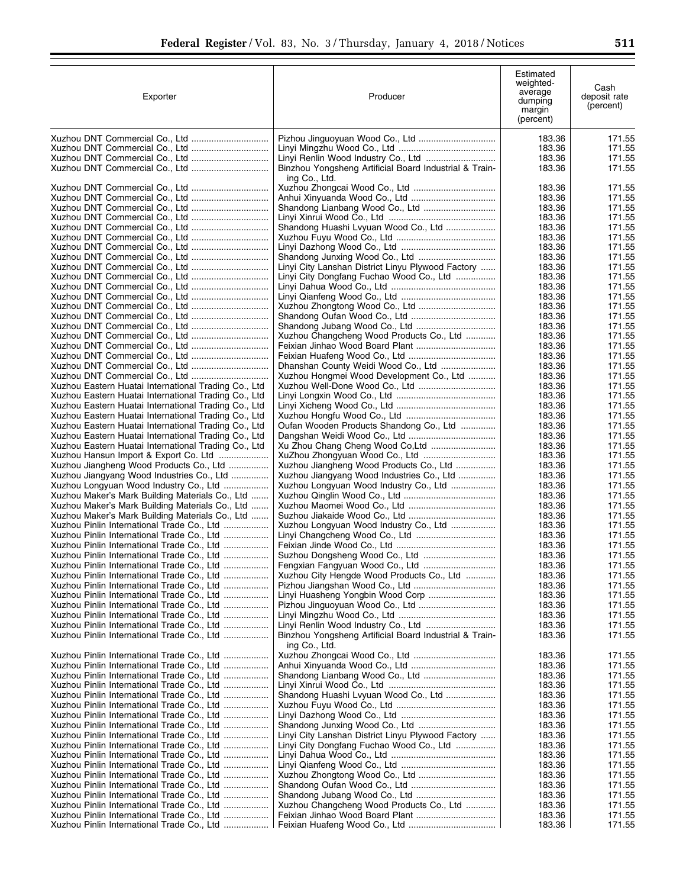| Exporter                                                                                                     | Producer                                                                                      | Estimated<br>weighted-<br>average<br>dumping<br>margin<br>(percent) | Cash<br>deposit rate<br>(percent) |
|--------------------------------------------------------------------------------------------------------------|-----------------------------------------------------------------------------------------------|---------------------------------------------------------------------|-----------------------------------|
|                                                                                                              |                                                                                               | 183.36                                                              | 171.55                            |
|                                                                                                              |                                                                                               | 183.36                                                              | 171.55                            |
|                                                                                                              | Linyi Renlin Wood Industry Co., Ltd<br>Binzhou Yongsheng Artificial Board Industrial & Train- | 183.36<br>183.36                                                    | 171.55<br>171.55                  |
|                                                                                                              | ing Co., Ltd.                                                                                 |                                                                     |                                   |
|                                                                                                              |                                                                                               | 183.36                                                              | 171.55                            |
| Xuzhou DNT Commercial Co., Ltd                                                                               |                                                                                               | 183.36                                                              | 171.55                            |
| Xuzhou DNT Commercial Co., Ltd                                                                               |                                                                                               | 183.36                                                              | 171.55                            |
|                                                                                                              |                                                                                               | 183.36                                                              | 171.55                            |
|                                                                                                              | Shandong Huashi Lvyuan Wood Co., Ltd                                                          | 183.36<br>183.36                                                    | 171.55<br>171.55                  |
|                                                                                                              |                                                                                               | 183.36                                                              | 171.55                            |
|                                                                                                              |                                                                                               | 183.36                                                              | 171.55                            |
|                                                                                                              | Linyi City Lanshan District Linyu Plywood Factory                                             | 183.36                                                              | 171.55                            |
|                                                                                                              | Linyi City Dongfang Fuchao Wood Co., Ltd                                                      | 183.36                                                              | 171.55                            |
|                                                                                                              |                                                                                               | 183.36<br>183.36                                                    | 171.55<br>171.55                  |
|                                                                                                              | Xuzhou Zhongtong Wood Co., Ltd                                                                | 183.36                                                              | 171.55                            |
|                                                                                                              |                                                                                               | 183.36                                                              | 171.55                            |
|                                                                                                              |                                                                                               | 183.36                                                              | 171.55                            |
| Xuzhou DNT Commercial Co., Ltd                                                                               | Xuzhou Changcheng Wood Products Co., Ltd                                                      | 183.36                                                              | 171.55                            |
| Xuzhou DNT Commercial Co., Ltd                                                                               |                                                                                               | 183.36<br>183.36                                                    | 171.55<br>171.55                  |
|                                                                                                              | Dhanshan County Weidi Wood Co., Ltd                                                           | 183.36                                                              | 171.55                            |
| Xuzhou DNT Commercial Co., Ltd                                                                               | Xuzhou Hongmei Wood Development Co., Ltd                                                      | 183.36                                                              | 171.55                            |
| Xuzhou Eastern Huatai International Trading Co., Ltd                                                         |                                                                                               | 183.36                                                              | 171.55                            |
| Xuzhou Eastern Huatai International Trading Co., Ltd                                                         |                                                                                               | 183.36                                                              | 171.55                            |
| Xuzhou Eastern Huatai International Trading Co., Ltd                                                         |                                                                                               | 183.36                                                              | 171.55                            |
| Xuzhou Eastern Huatai International Trading Co., Ltd                                                         |                                                                                               | 183.36<br>183.36                                                    | 171.55<br>171.55                  |
| Xuzhou Eastern Huatai International Trading Co., Ltd<br>Xuzhou Eastern Huatai International Trading Co., Ltd | Oufan Wooden Products Shandong Co., Ltd                                                       | 183.36                                                              | 171.55                            |
| Xuzhou Eastern Huatai International Trading Co., Ltd                                                         |                                                                                               | 183.36                                                              | 171.55                            |
| Xuzhou Hansun Import & Export Co. Ltd                                                                        |                                                                                               | 183.36                                                              | 171.55                            |
| Xuzhou Jiangheng Wood Products Co., Ltd                                                                      | Xuzhou Jiangheng Wood Products Co., Ltd                                                       | 183.36                                                              | 171.55                            |
| Xuzhou Jiangyang Wood Industries Co., Ltd                                                                    | Xuzhou Jiangyang Wood Industries Co., Ltd                                                     | 183.36                                                              | 171.55                            |
| Xuzhou Longyuan Wood Industry Co., Ltd<br>Xuzhou Maker's Mark Building Materials Co., Ltd                    | Xuzhou Longyuan Wood Industry Co., Ltd                                                        | 183.36<br>183.36                                                    | 171.55<br>171.55                  |
| Xuzhou Maker's Mark Building Materials Co., Ltd                                                              |                                                                                               | 183.36                                                              | 171.55                            |
| Xuzhou Maker's Mark Building Materials Co., Ltd                                                              |                                                                                               | 183.36                                                              | 171.55                            |
| Xuzhou Pinlin International Trade Co., Ltd                                                                   | Xuzhou Longyuan Wood Industry Co., Ltd                                                        | 183.36                                                              | 171.55                            |
| Xuzhou Pinlin International Trade Co., Ltd                                                                   |                                                                                               | 183.36                                                              | 171.55                            |
| Xuzhou Pinlin International Trade Co., Ltd<br>Xuzhou Pinlin International Trade Co., Ltd                     |                                                                                               | 183.36<br>183.36                                                    | 171.55<br>171.55                  |
| Xuzhou Pinlin International Trade Co., Ltd                                                                   | Fengxian Fangyuan Wood Co., Ltd                                                               | 183.36                                                              | 171.55                            |
| Xuzhou Pinlin International Trade Co., Ltd                                                                   | Xuzhou City Hengde Wood Products Co., Ltd                                                     | 183.36                                                              | 171.55                            |
| Xuzhou Pinlin International Trade Co., Ltd                                                                   |                                                                                               | 183.36                                                              | 171.55                            |
| Xuzhou Pinlin International Trade Co., Ltd                                                                   |                                                                                               | 183.36                                                              | 171.55                            |
| Xuzhou Pinlin International Trade Co., Ltd<br>Xuzhou Pinlin International Trade Co., Ltd                     |                                                                                               | 183.36<br>183.36                                                    | 171.55<br>171.55                  |
| Xuzhou Pinlin International Trade Co., Ltd                                                                   |                                                                                               | 183.36                                                              | 171.55                            |
| Xuzhou Pinlin International Trade Co., Ltd                                                                   | Binzhou Yongsheng Artificial Board Industrial & Train-<br>ing Co., Ltd.                       | 183.36                                                              | 171.55                            |
| Xuzhou Pinlin International Trade Co., Ltd                                                                   |                                                                                               | 183.36                                                              | 171.55                            |
| Xuzhou Pinlin International Trade Co., Ltd                                                                   |                                                                                               | 183.36                                                              | 171.55                            |
| Xuzhou Pinlin International Trade Co., Ltd                                                                   |                                                                                               | 183.36                                                              | 171.55                            |
| Xuzhou Pinlin International Trade Co., Ltd<br>Xuzhou Pinlin International Trade Co., Ltd                     | Shandong Huashi Lvyuan Wood Co., Ltd                                                          | 183.36<br>183.36                                                    | 171.55<br>171.55                  |
| Xuzhou Pinlin International Trade Co., Ltd                                                                   |                                                                                               | 183.36                                                              | 171.55                            |
| Xuzhou Pinlin International Trade Co., Ltd                                                                   |                                                                                               | 183.36                                                              | 171.55                            |
| Xuzhou Pinlin International Trade Co., Ltd                                                                   |                                                                                               | 183.36                                                              | 171.55                            |
| Xuzhou Pinlin International Trade Co., Ltd                                                                   | Linyi City Lanshan District Linyu Plywood Factory                                             | 183.36                                                              | 171.55                            |
| Xuzhou Pinlin International Trade Co., Ltd<br>Xuzhou Pinlin International Trade Co., Ltd                     | Linyi City Dongfang Fuchao Wood Co., Ltd                                                      | 183.36<br>183.36                                                    | 171.55<br>171.55                  |
| Xuzhou Pinlin International Trade Co., Ltd                                                                   |                                                                                               | 183.36                                                              | 171.55                            |
| Xuzhou Pinlin International Trade Co., Ltd                                                                   |                                                                                               | 183.36                                                              | 171.55                            |
| Xuzhou Pinlin International Trade Co., Ltd                                                                   |                                                                                               | 183.36                                                              | 171.55                            |
| Xuzhou Pinlin International Trade Co., Ltd                                                                   |                                                                                               | 183.36                                                              | 171.55                            |
| Xuzhou Pinlin International Trade Co., Ltd<br>Xuzhou Pinlin International Trade Co., Ltd                     | Xuzhou Changcheng Wood Products Co., Ltd                                                      | 183.36<br>183.36                                                    | 171.55<br>171.55                  |
| Xuzhou Pinlin International Trade Co., Ltd                                                                   |                                                                                               | 183.36                                                              | 171.55                            |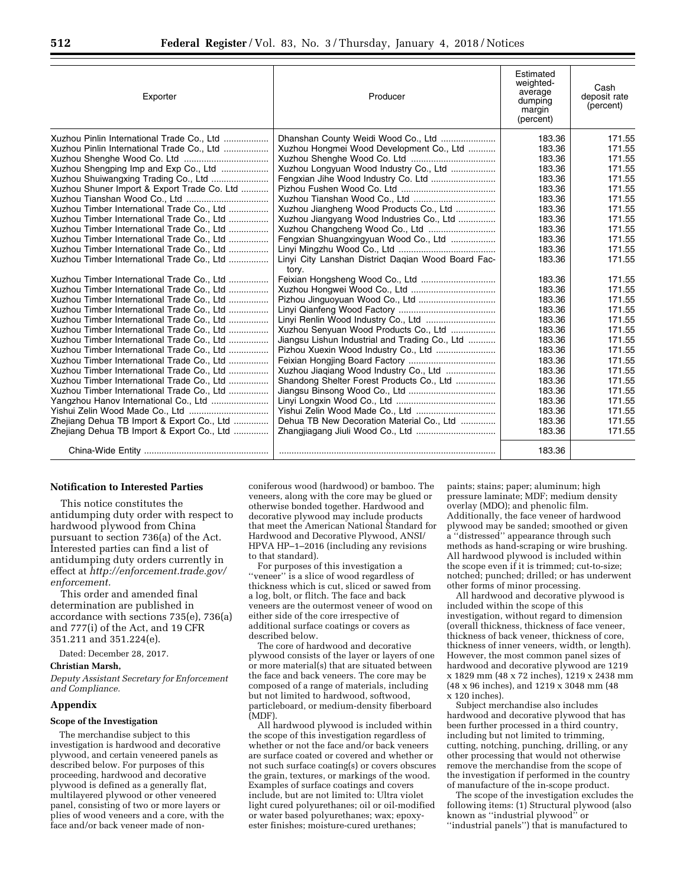| Exporter                                    | Producer                                           | Estimated<br>weighted-<br>average<br>dumping<br>margin<br>(percent) | Cash<br>deposit rate<br>(percent) |
|---------------------------------------------|----------------------------------------------------|---------------------------------------------------------------------|-----------------------------------|
| Xuzhou Pinlin International Trade Co., Ltd  |                                                    | 183.36                                                              | 171.55                            |
| Xuzhou Pinlin International Trade Co., Ltd  | Xuzhou Hongmei Wood Development Co., Ltd           | 183.36                                                              | 171.55                            |
|                                             |                                                    | 183.36                                                              | 171.55                            |
| Xuzhou Shengping Imp and Exp Co., Ltd       | Xuzhou Longyuan Wood Industry Co., Ltd             | 183.36                                                              | 171.55                            |
|                                             |                                                    | 183.36                                                              | 171.55                            |
| Xuzhou Shuner Import & Export Trade Co. Ltd |                                                    | 183.36                                                              | 171.55                            |
|                                             |                                                    | 183.36                                                              | 171.55                            |
| Xuzhou Timber International Trade Co., Ltd  | Xuzhou Jiangheng Wood Products Co., Ltd            | 183.36                                                              | 171.55                            |
| Xuzhou Timber International Trade Co., Ltd  | Xuzhou Jiangyang Wood Industries Co., Ltd          | 183.36                                                              | 171.55                            |
| Xuzhou Timber International Trade Co., Ltd  |                                                    | 183.36                                                              | 171.55                            |
| Xuzhou Timber International Trade Co., Ltd  | Fengxian Shuangxingyuan Wood Co., Ltd              | 183.36                                                              | 171.55                            |
| Xuzhou Timber International Trade Co., Ltd  |                                                    | 183.36                                                              | 171.55                            |
| Xuzhou Timber International Trade Co., Ltd  | Linyi City Lanshan District Dagian Wood Board Fac- | 183.36                                                              | 171.55                            |
|                                             | tory.                                              |                                                                     |                                   |
| Xuzhou Timber International Trade Co., Ltd  |                                                    | 183.36                                                              | 171.55                            |
| Xuzhou Timber International Trade Co., Ltd  |                                                    | 183.36                                                              | 171.55                            |
| Xuzhou Timber International Trade Co., Ltd  |                                                    | 183.36                                                              | 171.55                            |
| Xuzhou Timber International Trade Co., Ltd  |                                                    | 183.36                                                              | 171.55                            |
| Xuzhou Timber International Trade Co., Ltd  |                                                    | 183.36                                                              | 171.55                            |
| Xuzhou Timber International Trade Co., Ltd  | Xuzhou Senyuan Wood Products Co., Ltd              | 183.36                                                              | 171.55                            |
| Xuzhou Timber International Trade Co., Ltd  | Jiangsu Lishun Industrial and Trading Co., Ltd     | 183.36                                                              | 171.55                            |
| Xuzhou Timber International Trade Co., Ltd  |                                                    | 183.36                                                              | 171.55                            |
| Xuzhou Timber International Trade Co., Ltd  |                                                    | 183.36                                                              | 171.55                            |
| Xuzhou Timber International Trade Co., Ltd  |                                                    | 183.36                                                              | 171.55                            |
| Xuzhou Timber International Trade Co., Ltd  | Shandong Shelter Forest Products Co., Ltd          | 183.36                                                              | 171.55                            |
| Xuzhou Timber International Trade Co., Ltd  |                                                    | 183.36                                                              | 171.55                            |
|                                             |                                                    | 183.36                                                              | 171.55                            |
| Yishui Zelin Wood Made Co., Ltd             |                                                    | 183.36                                                              | 171.55                            |
| Zhejiang Dehua TB Import & Export Co., Ltd  | Dehua TB New Decoration Material Co., Ltd          | 183.36                                                              | 171.55                            |
| Zhejiang Dehua TB Import & Export Co., Ltd  | Zhangjiagang Jiuli Wood Co., Ltd                   | 183.36                                                              | 171.55                            |
|                                             |                                                    | 183.36                                                              |                                   |

### **Notification to Interested Parties**

This notice constitutes the antidumping duty order with respect to hardwood plywood from China pursuant to section 736(a) of the Act. Interested parties can find a list of antidumping duty orders currently in effect at *[http://enforcement.trade.gov/](http://enforcement.trade.gov/enforcement) [enforcement.](http://enforcement.trade.gov/enforcement)* 

This order and amended final determination are published in accordance with sections 735(e), 736(a) and 777(i) of the Act, and 19 CFR 351.211 and 351.224(e).

Dated: December 28, 2017.

#### **Christian Marsh,**

*Deputy Assistant Secretary for Enforcement and Compliance.* 

#### **Appendix**

#### **Scope of the Investigation**

The merchandise subject to this investigation is hardwood and decorative plywood, and certain veneered panels as described below. For purposes of this proceeding, hardwood and decorative plywood is defined as a generally flat, multilayered plywood or other veneered panel, consisting of two or more layers or plies of wood veneers and a core, with the face and/or back veneer made of nonconiferous wood (hardwood) or bamboo. The veneers, along with the core may be glued or otherwise bonded together. Hardwood and decorative plywood may include products that meet the American National Standard for Hardwood and Decorative Plywood, ANSI/ HPVA HP–1–2016 (including any revisions to that standard).

For purposes of this investigation a "veneer" is a slice of wood regardless of thickness which is cut, sliced or sawed from a log, bolt, or flitch. The face and back veneers are the outermost veneer of wood on either side of the core irrespective of additional surface coatings or covers as described below.

The core of hardwood and decorative plywood consists of the layer or layers of one or more material(s) that are situated between the face and back veneers. The core may be composed of a range of materials, including but not limited to hardwood, softwood, particleboard, or medium-density fiberboard (MDF).

All hardwood plywood is included within the scope of this investigation regardless of whether or not the face and/or back veneers are surface coated or covered and whether or not such surface coating(s) or covers obscures the grain, textures, or markings of the wood. Examples of surface coatings and covers include, but are not limited to: Ultra violet light cured polyurethanes; oil or oil-modified or water based polyurethanes; wax; epoxyester finishes; moisture-cured urethanes;

paints; stains; paper; aluminum; high pressure laminate; MDF; medium density overlay (MDO); and phenolic film. Additionally, the face veneer of hardwood plywood may be sanded; smoothed or given a ''distressed'' appearance through such methods as hand-scraping or wire brushing. All hardwood plywood is included within the scope even if it is trimmed; cut-to-size; notched; punched; drilled; or has underwent other forms of minor processing.

All hardwood and decorative plywood is included within the scope of this investigation, without regard to dimension (overall thickness, thickness of face veneer, thickness of back veneer, thickness of core, thickness of inner veneers, width, or length). However, the most common panel sizes of hardwood and decorative plywood are 1219 x 1829 mm (48 x 72 inches), 1219 x 2438 mm (48 x 96 inches), and 1219 x 3048 mm (48 x 120 inches).

Subject merchandise also includes hardwood and decorative plywood that has been further processed in a third country, including but not limited to trimming, cutting, notching, punching, drilling, or any other processing that would not otherwise remove the merchandise from the scope of the investigation if performed in the country of manufacture of the in-scope product.

The scope of the investigation excludes the following items: (1) Structural plywood (also known as ''industrial plywood'' or ''industrial panels'') that is manufactured to